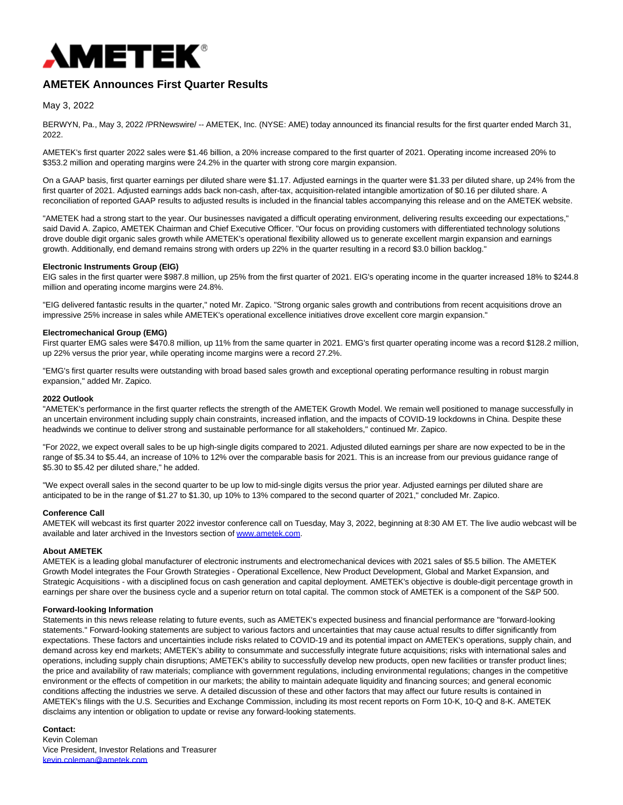

# **AMETEK Announces First Quarter Results**

# May 3, 2022

BERWYN, Pa., May 3, 2022 /PRNewswire/ -- AMETEK, Inc. (NYSE: AME) today announced its financial results for the first quarter ended March 31, 2022.

AMETEK's first quarter 2022 sales were \$1.46 billion, a 20% increase compared to the first quarter of 2021. Operating income increased 20% to \$353.2 million and operating margins were 24.2% in the quarter with strong core margin expansion.

On a GAAP basis, first quarter earnings per diluted share were \$1.17. Adjusted earnings in the quarter were \$1.33 per diluted share, up 24% from the first quarter of 2021. Adjusted earnings adds back non-cash, after-tax, acquisition-related intangible amortization of \$0.16 per diluted share. A reconciliation of reported GAAP results to adjusted results is included in the financial tables accompanying this release and on the AMETEK website.

"AMETEK had a strong start to the year. Our businesses navigated a difficult operating environment, delivering results exceeding our expectations," said David A. Zapico, AMETEK Chairman and Chief Executive Officer. "Our focus on providing customers with differentiated technology solutions drove double digit organic sales growth while AMETEK's operational flexibility allowed us to generate excellent margin expansion and earnings growth. Additionally, end demand remains strong with orders up 22% in the quarter resulting in a record \$3.0 billion backlog."

#### **Electronic Instruments Group (EIG)**

EIG sales in the first quarter were \$987.8 million, up 25% from the first quarter of 2021. EIG's operating income in the quarter increased 18% to \$244.8 million and operating income margins were 24.8%.

"EIG delivered fantastic results in the quarter," noted Mr. Zapico. "Strong organic sales growth and contributions from recent acquisitions drove an impressive 25% increase in sales while AMETEK's operational excellence initiatives drove excellent core margin expansion."

## **Electromechanical Group (EMG)**

First quarter EMG sales were \$470.8 million, up 11% from the same quarter in 2021. EMG's first quarter operating income was a record \$128.2 million, up 22% versus the prior year, while operating income margins were a record 27.2%.

"EMG's first quarter results were outstanding with broad based sales growth and exceptional operating performance resulting in robust margin expansion," added Mr. Zapico.

### **2022 Outlook**

"AMETEK's performance in the first quarter reflects the strength of the AMETEK Growth Model. We remain well positioned to manage successfully in an uncertain environment including supply chain constraints, increased inflation, and the impacts of COVID-19 lockdowns in China. Despite these headwinds we continue to deliver strong and sustainable performance for all stakeholders," continued Mr. Zapico.

"For 2022, we expect overall sales to be up high-single digits compared to 2021. Adjusted diluted earnings per share are now expected to be in the range of \$5.34 to \$5.44, an increase of 10% to 12% over the comparable basis for 2021. This is an increase from our previous guidance range of \$5.30 to \$5.42 per diluted share," he added.

"We expect overall sales in the second quarter to be up low to mid-single digits versus the prior year. Adjusted earnings per diluted share are anticipated to be in the range of \$1.27 to \$1.30, up 10% to 13% compared to the second quarter of 2021," concluded Mr. Zapico.

#### **Conference Call**

AMETEK will webcast its first quarter 2022 investor conference call on Tuesday, May 3, 2022, beginning at 8:30 AM ET. The live audio webcast will be available and later archived in the Investors section of [www.ametek.com.](http://www.ametek.com/)

#### **About AMETEK**

AMETEK is a leading global manufacturer of electronic instruments and electromechanical devices with 2021 sales of \$5.5 billion. The AMETEK Growth Model integrates the Four Growth Strategies - Operational Excellence, New Product Development, Global and Market Expansion, and Strategic Acquisitions - with a disciplined focus on cash generation and capital deployment. AMETEK's objective is double-digit percentage growth in earnings per share over the business cycle and a superior return on total capital. The common stock of AMETEK is a component of the S&P 500.

#### **Forward-looking Information**

Statements in this news release relating to future events, such as AMETEK's expected business and financial performance are "forward-looking statements." Forward-looking statements are subject to various factors and uncertainties that may cause actual results to differ significantly from expectations. These factors and uncertainties include risks related to COVID-19 and its potential impact on AMETEK's operations, supply chain, and demand across key end markets; AMETEK's ability to consummate and successfully integrate future acquisitions; risks with international sales and operations, including supply chain disruptions; AMETEK's ability to successfully develop new products, open new facilities or transfer product lines; the price and availability of raw materials; compliance with government regulations, including environmental regulations; changes in the competitive environment or the effects of competition in our markets; the ability to maintain adequate liquidity and financing sources; and general economic conditions affecting the industries we serve. A detailed discussion of these and other factors that may affect our future results is contained in AMETEK's filings with the U.S. Securities and Exchange Commission, including its most recent reports on Form 10-K, 10-Q and 8-K. AMETEK disclaims any intention or obligation to update or revise any forward-looking statements.

## **Contact:**

Kevin Coleman Vice President, Investor Relations and Treasurer [kevin.coleman@ametek.com](mailto:kevin.coleman@ametek.com)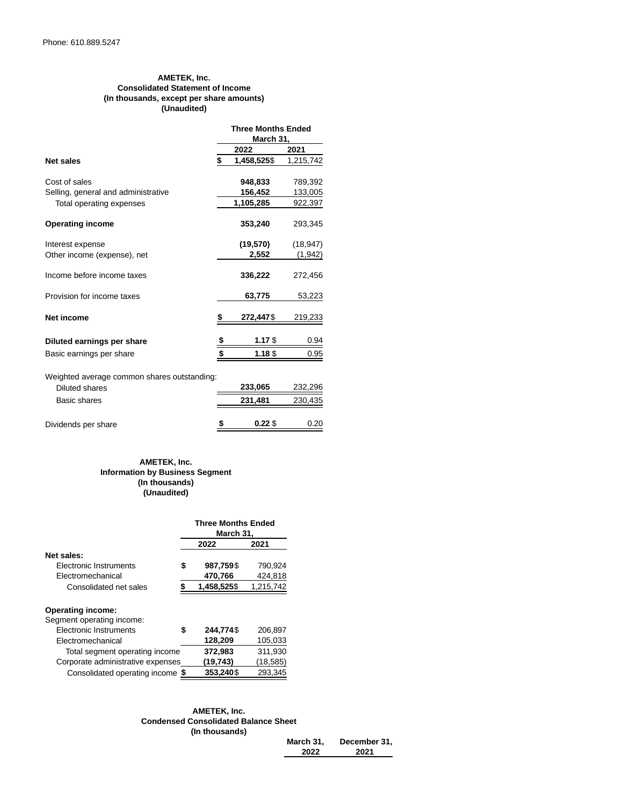# **AMETEK, Inc. Consolidated Statement of Income (In thousands, except per share amounts) (Unaudited)**

|                                             |    | <b>Three Months Ended</b><br>March 31, |           |  |  |  |
|---------------------------------------------|----|----------------------------------------|-----------|--|--|--|
|                                             |    | 2022                                   | 2021      |  |  |  |
| <b>Net sales</b>                            | \$ | 1,458,525\$                            | 1,215,742 |  |  |  |
| Cost of sales                               |    | 948,833                                | 789,392   |  |  |  |
| Selling, general and administrative         |    | 156,452                                | 133,005   |  |  |  |
| Total operating expenses                    |    | 1,105,285                              | 922,397   |  |  |  |
| <b>Operating income</b>                     |    | 353,240                                | 293,345   |  |  |  |
| Interest expense                            |    | (19,570)                               | (18, 947) |  |  |  |
| Other income (expense), net                 |    | 2,552                                  | (1, 942)  |  |  |  |
| Income before income taxes                  |    | 336,222                                | 272,456   |  |  |  |
| Provision for income taxes                  |    | 63,775                                 | 53,223    |  |  |  |
| <b>Net income</b>                           | S  | 272,447\$                              | 219,233   |  |  |  |
| Diluted earnings per share                  | \$ | $1.17$ \$                              | 0.94      |  |  |  |
| Basic earnings per share                    | \$ | 1.18\$                                 | 0.95      |  |  |  |
| Weighted average common shares outstanding: |    |                                        |           |  |  |  |
| <b>Diluted shares</b>                       |    | 233,065                                | 232,296   |  |  |  |
| Basic shares                                |    | 231,481                                | 230,435   |  |  |  |

| Dividends per share | $0.22$ \$ | 0.20 |
|---------------------|-----------|------|
|                     |           |      |

# **AMETEK, Inc. Information by Business Segment (In thousands) (Unaudited)**

|                                   | <b>Three Months Ended</b><br>March 31, |           |  |
|-----------------------------------|----------------------------------------|-----------|--|
|                                   | 2022                                   | 2021      |  |
| Net sales:                        |                                        |           |  |
| Electronic Instruments            | \$<br>987,759\$                        | 790,924   |  |
| Electromechanical                 | 470,766                                | 424,818   |  |
| Consolidated net sales            | \$<br>1,458,525\$                      | 1,215,742 |  |
| <b>Operating income:</b>          |                                        |           |  |
| Segment operating income:         |                                        |           |  |
| Electronic Instruments            | \$<br>244,774\$                        | 206,897   |  |
| Electromechanical                 | 128,209                                | 105,033   |  |
| Total segment operating income    | 372,983                                | 311,930   |  |
| Corporate administrative expenses | (19,743)                               | (18,585)  |  |
| Consolidated operating income \$  | 353,240\$                              | 293,345   |  |

### **AMETEK, Inc. Condensed Consolidated Balance Sheet (In thousands)**

| March 31. | December 31, |
|-----------|--------------|
| 2022      | 2021         |